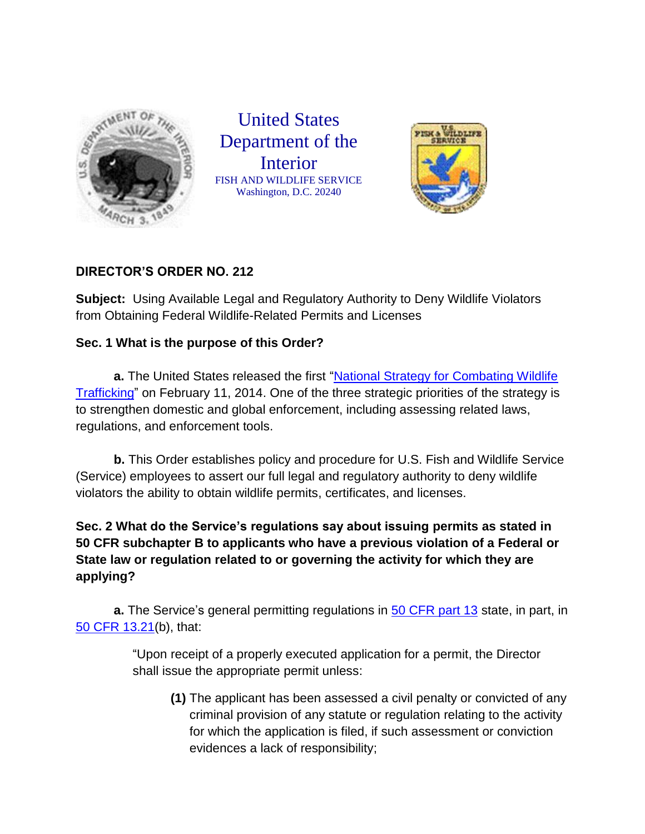

United States Department of the Interior FISH AND WILDLIFE SERVICE Washington, D.C. 20240



## **DIRECTOR'S ORDER NO. 212**

**Subject:** Using Available Legal and Regulatory Authority to Deny Wildlife Violators from Obtaining Federal Wildlife-Related Permits and Licenses

## **Sec. 1 What is the purpose of this Order?**

**a.** The United States released the first ["National Strategy for Combating Wildlife](https://www.whitehouse.gov/sites/default/files/docs/nationalstrategywildlifetrafficking.pdf)  [Trafficking"](https://www.whitehouse.gov/sites/default/files/docs/nationalstrategywildlifetrafficking.pdf) on February 11, 2014. One of the three strategic priorities of the strategy is to strengthen domestic and global enforcement, including assessing related laws, regulations, and enforcement tools.

**b.** This Order establishes policy and procedure for U.S. Fish and Wildlife Service (Service) employees to assert our full legal and regulatory authority to deny wildlife violators the ability to obtain wildlife permits, certificates, and licenses.

**Sec. 2 What do the Service's regulations say about issuing permits as stated in 50 CFR subchapter B to applicants who have a previous violation of a Federal or State law or regulation related to or governing the activity for which they are applying?**

**a.** The Service's general permitting regulations in [50 CFR part 13](http://www.ecfr.gov/cgi-bin/text-idx?SID=004b7a2888ae74abedb84aeac0043e64&mc=true&tpl=/ecfrbrowse/Title50/50cfr13_main_02.tpl) state, in part, in [50 CFR 13.21\(](http://www.ecfr.gov/cgi-bin/text-idx?SID=004b7a2888ae74abedb84aeac0043e64&mc=true&node=se50.1.13_121&rgn=div8)b), that:

> "Upon receipt of a properly executed application for a permit, the Director shall issue the appropriate permit unless:

**(1)** The applicant has been assessed a civil penalty or convicted of any criminal provision of any statute or regulation relating to the activity for which the application is filed, if such assessment or conviction evidences a lack of responsibility;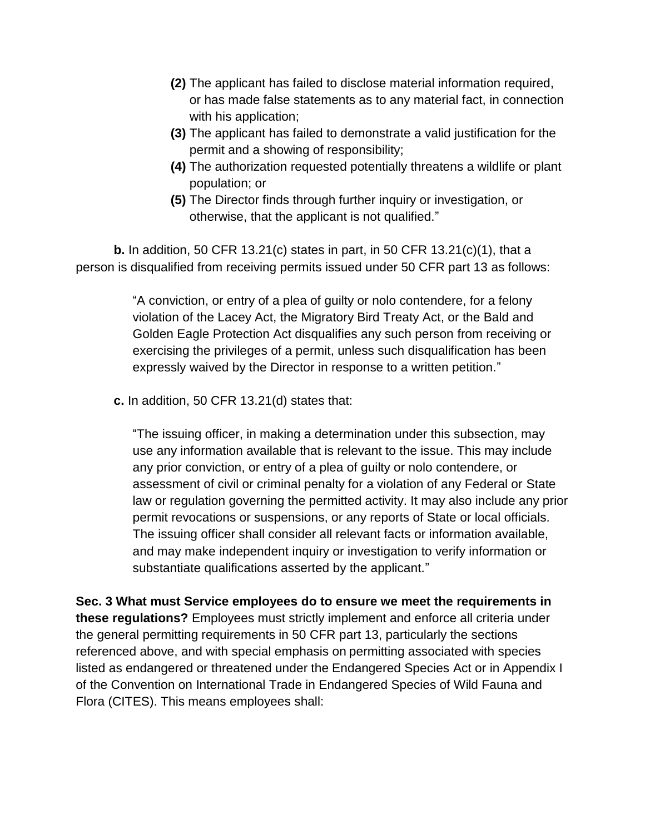- **(2)** The applicant has failed to disclose material information required, or has made false statements as to any material fact, in connection with his application;
- **(3)** The applicant has failed to demonstrate a valid justification for the permit and a showing of responsibility;
- **(4)** The authorization requested potentially threatens a wildlife or plant population; or
- **(5)** The Director finds through further inquiry or investigation, or otherwise, that the applicant is not qualified."

**b.** In addition, 50 CFR 13.21(c) states in part, in 50 CFR 13.21(c)(1), that a person is disqualified from receiving permits issued under 50 CFR part 13 as follows:

> "A conviction, or entry of a plea of guilty or nolo contendere, for a felony violation of the Lacey Act, the Migratory Bird Treaty Act, or the Bald and Golden Eagle Protection Act disqualifies any such person from receiving or exercising the privileges of a permit, unless such disqualification has been expressly waived by the Director in response to a written petition."

**c.** In addition, 50 CFR 13.21(d) states that:

"The issuing officer, in making a determination under this subsection, may use any information available that is relevant to the issue. This may include any prior conviction, or entry of a plea of guilty or nolo contendere, or assessment of civil or criminal penalty for a violation of any Federal or State law or regulation governing the permitted activity. It may also include any prior permit revocations or suspensions, or any reports of State or local officials. The issuing officer shall consider all relevant facts or information available, and may make independent inquiry or investigation to verify information or substantiate qualifications asserted by the applicant."

**Sec. 3 What must Service employees do to ensure we meet the requirements in these regulations?** Employees must strictly implement and enforce all criteria under the general permitting requirements in 50 CFR part 13, particularly the sections referenced above, and with special emphasis on permitting associated with species listed as endangered or threatened under the Endangered Species Act or in Appendix I of the Convention on International Trade in Endangered Species of Wild Fauna and Flora (CITES). This means employees shall: